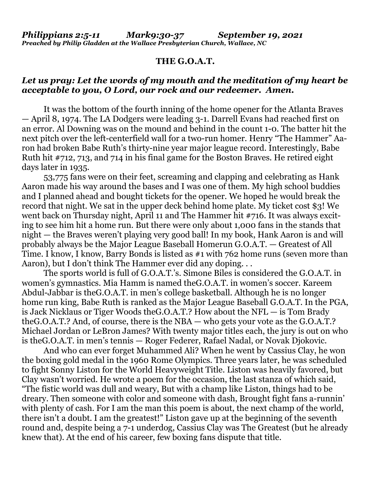## **THE G.O.A.T.**

## *Let us pray: Let the words of my mouth and the meditation of my heart be acceptable to you, O Lord, our rock and our redeemer. Amen.*

It was the bottom of the fourth inning of the home opener for the Atlanta Braves — April 8, 1974. The LA Dodgers were leading 3-1. Darrell Evans had reached first on an error. Al Downing was on the mound and behind in the count 1-0. The batter hit the next pitch over the left-centerfield wall for a two-run homer. Henry "The Hammer" Aaron had broken Babe Ruth's thirty-nine year major league record. Interestingly, Babe Ruth hit #712, 713, and 714 in his final game for the Boston Braves. He retired eight days later in 1935.

 53,775 fans were on their feet, screaming and clapping and celebrating as Hank Aaron made his way around the bases and I was one of them. My high school buddies and I planned ahead and bought tickets for the opener. We hoped he would break the record that night. We sat in the upper deck behind home plate. My ticket cost \$3! We went back on Thursday night, April 11 and The Hammer hit #716. It was always exciting to see him hit a home run. But there were only about 1,000 fans in the stands that night — the Braves weren't playing very good ball! In my book, Hank Aaron is and will probably always be the Major League Baseball Homerun G.O.A.T. — Greatest of All Time. I know, I know, Barry Bonds is listed as #1 with 762 home runs (seven more than Aaron), but I don't think The Hammer ever did any doping. . .

 The sports world is full of G.O.A.T.'s. Simone Biles is considered the G.O.A.T. in women's gymnastics. Mia Hamm is named theG.O.A.T. in women's soccer. Kareem Abdul-Jabbar is theG.O.A.T. in men's college basketball. Although he is no longer home run king, Babe Ruth is ranked as the Major League Baseball G.O.A.T. In the PGA, is Jack Nicklaus or Tiger Woods theG.O.A.T.? How about the NFL — is Tom Brady theG.O.A.T.? And, of course, there is the NBA — who gets your vote as the G.O.A.T.? Michael Jordan or LeBron James? With twenty major titles each, the jury is out on who is theG.O.A.T. in men's tennis — Roger Federer, Rafael Nadal, or Novak Djokovic.

 And who can ever forget Muhammed Ali? When he went by Cassius Clay, he won the boxing gold medal in the 1960 Rome Olympics. Three years later, he was scheduled to fight Sonny Liston for the World Heavyweight Title. Liston was heavily favored, but Clay wasn't worried. He wrote a poem for the occasion, the last stanza of which said, "The fistic world was dull and weary, But with a champ like Liston, things had to be dreary. Then someone with color and someone with dash, Brought fight fans a-runnin' with plenty of cash. For I am the man this poem is about, the next champ of the world, there isn't a doubt. I am the greatest!" Liston gave up at the beginning of the seventh round and, despite being a 7-1 underdog, Cassius Clay was The Greatest (but he already knew that). At the end of his career, few boxing fans dispute that title.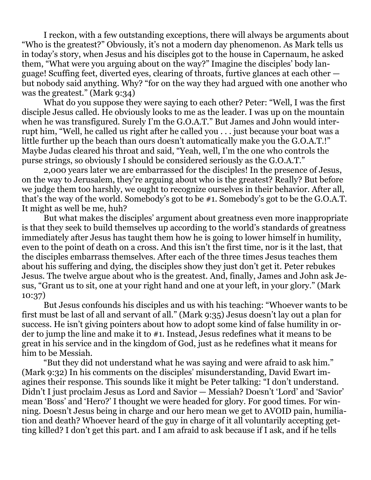I reckon, with a few outstanding exceptions, there will always be arguments about "Who is the greatest?" Obviously, it's not a modern day phenomenon. As Mark tells us in today's story, when Jesus and his disciples got to the house in Capernaum, he asked them, "What were you arguing about on the way?" Imagine the disciples' body language! Scuffing feet, diverted eyes, clearing of throats, furtive glances at each other but nobody said anything. Why? "for on the way they had argued with one another who was the greatest." (Mark 9:34)

 What do you suppose they were saying to each other? Peter: "Well, I was the first disciple Jesus called. He obviously looks to me as the leader. I was up on the mountain when he was transfigured. Surely I'm the G.O.A.T." But James and John would interrupt him, "Well, he called us right after he called you . . . just because your boat was a little further up the beach than ours doesn't automatically make you the G.O.A.T.!" Maybe Judas cleared his throat and said, "Yeah, well, I'm the one who controls the purse strings, so obviously I should be considered seriously as the G.O.A.T."

 2,000 years later we are embarrassed for the disciples! In the presence of Jesus, on the way to Jerusalem, they're arguing about who is the greatest? Really? But before we judge them too harshly, we ought to recognize ourselves in their behavior. After all, that's the way of the world. Somebody's got to be #1. Somebody's got to be the G.O.A.T. It might as well be me, huh?

 But what makes the disciples' argument about greatness even more inappropriate is that they seek to build themselves up according to the world's standards of greatness immediately after Jesus has taught them how he is going to lower himself in humility, even to the point of death on a cross. And this isn't the first time, nor is it the last, that the disciples embarrass themselves. After each of the three times Jesus teaches them about his suffering and dying, the disciples show they just don't get it. Peter rebukes Jesus. The twelve argue about who is the greatest. And, finally, James and John ask Jesus, "Grant us to sit, one at your right hand and one at your left, in your glory." (Mark 10:37)

 But Jesus confounds his disciples and us with his teaching: "Whoever wants to be first must be last of all and servant of all." (Mark 9:35) Jesus doesn't lay out a plan for success. He isn't giving pointers about how to adopt some kind of false humility in order to jump the line and make it to #1. Instead, Jesus redefines what it means to be great in his service and in the kingdom of God, just as he redefines what it means for him to be Messiah.

 "But they did not understand what he was saying and were afraid to ask him." (Mark 9:32) In his comments on the disciples' misunderstanding, David Ewart imagines their response. This sounds like it might be Peter talking: "I don't understand. Didn't I just proclaim Jesus as Lord and Savior — Messiah? Doesn't 'Lord' and 'Savior' mean 'Boss' and 'Hero?' I thought we were headed for glory. For good times. For winning. Doesn't Jesus being in charge and our hero mean we get to AVOID pain, humiliation and death? Whoever heard of the guy in charge of it all voluntarily accepting getting killed? I don't get this part. and I am afraid to ask because if I ask, and if he tells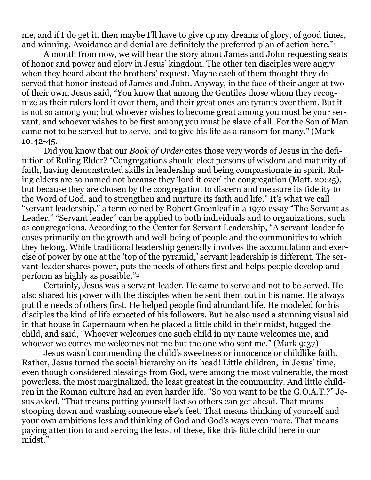me, and if I do get it, then maybe I'll have to give up my dreams of glory, of good times, and winning. Avoidance and denial are definitely the preferred plan of action here."<sup>1</sup>

 A month from now, we will hear the story about James and John requesting seats of honor and power and glory in Jesus' kingdom. The other ten disciples were angry when they heard about the brothers' request. Maybe each of them thought they deserved that honor instead of James and John. Anyway, in the face of their anger at two of their own, Jesus said, "You know that among the Gentiles those whom they recognize as their rulers lord it over them, and their great ones are tyrants over them. But it is not so among you; but whoever wishes to become great among you must be your servant, and whoever wishes to be first among you must be slave of all. For the Son of Man came not to be served but to serve, and to give his life as a ransom for many." (Mark 10:42-45.

 Did you know that our *Book of Order* cites those very words of Jesus in the definition of Ruling Elder? "Congregations should elect persons of wisdom and maturity of faith, having demonstrated skills in leadership and being compassionate in spirit. Ruling elders are so named not because they 'lord it over' the congregation (Matt. 20:25), but because they are chosen by the congregation to discern and measure its fidelity to the Word of God, and to strengthen and nurture its faith and life." It's what we call "servant leadership," a term coined by Robert Greenleaf in a 1970 essay "The Servant as Leader." "Servant leader" can be applied to both individuals and to organizations, such as congregations. According to the Center for Servant Leadership, "A servant-leader focuses primarily on the growth and well-being of people and the communities to which they belong. While traditional leadership generally involves the accumulation and exercise of power by one at the 'top of the pyramid,' servant leadership is different. The servant-leader shares power, puts the needs of others first and helps people develop and perform as highly as possible."<sup>2</sup>

 Certainly, Jesus was a servant-leader. He came to serve and not to be served. He also shared his power with the disciples when he sent them out in his name. He always put the needs of others first. He helped people find abundant life. He modeled for his disciples the kind of life expected of his followers. But he also used a stunning visual aid in that house in Capernaum when he placed a little child in their midst, hugged the child, and said, "Whoever welcomes one such child in my name welcomes me, and whoever welcomes me welcomes not me but the one who sent me." (Mark 9:37)

 Jesus wasn't commending the child's sweetness or innocence or childlike faith. Rather, Jesus turned the social hierarchy on its head! Little children, in Jesus' time, even though considered blessings from God, were among the most vulnerable, the most powerless, the most marginalized, the least greatest in the community. And little children in the Roman culture had an even harder life. "So you want to be the G.O.A.T.?" Jesus asked. "That means putting yourself last so others can get ahead. That means stooping down and washing someone else's feet. That means thinking of yourself and your own ambitions less and thinking of God and God's ways even more. That means paying attention to and serving the least of these, like this little child here in our midst."